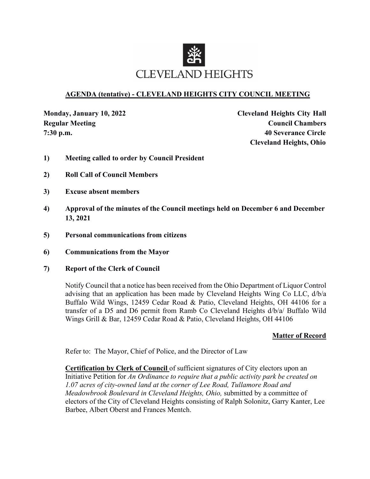

## **AGENDA (tentative) - CLEVELAND HEIGHTS CITY COUNCIL MEETING**

**Monday, January 10, 2022 Cleveland Heights City Hall Regular Meeting Council Chambers 7:30 p.m. 40 Severance Circle Cleveland Heights, Ohio**

- **1) Meeting called to order by Council President**
- **2) Roll Call of Council Members**
- **3) Excuse absent members**
- **4) Approval of the minutes of the Council meetings held on December 6 and December 13, 2021**
- **5) Personal communications from citizens**
- **6) Communications from the Mayor**
- **7) Report of the Clerk of Council**

Notify Council that a notice has been received from the Ohio Department of Liquor Control advising that an application has been made by Cleveland Heights Wing Co LLC, d/b/a Buffalo Wild Wings, 12459 Cedar Road & Patio, Cleveland Heights, OH 44106 for a transfer of a D5 and D6 permit from Ramb Co Cleveland Heights d/b/a/ Buffalo Wild Wings Grill & Bar, 12459 Cedar Road & Patio, Cleveland Heights, OH 44106

#### **Matter of Record**

Refer to: The Mayor, Chief of Police, and the Director of Law

**Certification by Clerk of Council** of sufficient signatures of City electors upon an Initiative Petition for *An Ordinance to require that a public activity park be created on 1.07 acres of city-owned land at the corner of Lee Road, Tullamore Road and Meadowbrook Boulevard in Cleveland Heights, Ohio,* submitted by a committee of electors of the City of Cleveland Heights consisting of Ralph Solonitz, Garry Kanter, Lee Barbee, Albert Oberst and Frances Mentch.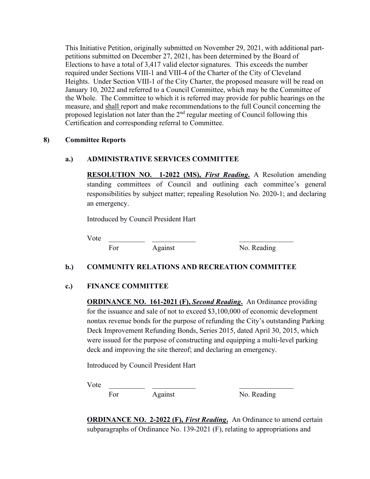This Initiative Petition, originally submitted on November 29, 2021, with additional partpetitions submitted on December 27, 2021, has been determined by the Board of Elections to have a total of 3,417 valid elector signatures. This exceeds the number required under Sections VIII-1 and VIII-4 of the Charter of the City of Cleveland Heights. Under Section VIII-1 of the City Charter, the proposed measure will be read on January 10, 2022 and referred to a Council Committee, which may be the Committee of the Whole. The Committee to which it is referred may provide for public hearings on the measure, and shall report and make recommendations to the full Council concerning the proposed legislation not later than the  $2<sup>nd</sup>$  regular meeting of Council following this Certification and corresponding referral to Committee.

#### **8) Committee Reports**

#### **a.) ADMINISTRATIVE SERVICES COMMITTEE**

**RESOLUTION NO. 1-2022 (MS),** *First Reading***.** A Resolution amending standing committees of Council and outlining each committee's general responsibilities by subject matter; repealing Resolution No. 2020-1; and declaring an emergency.

Introduced by Council President Hart

Vote \_\_\_\_\_\_\_\_\_\_ \_\_\_\_\_\_\_\_\_\_\_\_ \_\_\_\_\_\_\_\_\_\_\_\_\_\_\_

For Against No. Reading

### **b.) COMMUNITY RELATIONS AND RECREATION COMMITTEE**

### **c.) FINANCE COMMITTEE**

**ORDINANCE NO. 161-2021 (F),** *Second Reading***.** An Ordinance providing for the issuance and sale of not to exceed \$3,100,000 of economic development nontax revenue bonds for the purpose of refunding the City's outstanding Parking Deck Improvement Refunding Bonds, Series 2015, dated April 30, 2015, which were issued for the purpose of constructing and equipping a multi-level parking deck and improving the site thereof; and declaring an emergency.

Introduced by Council President Hart

 $Vote$ 

For Against No. Reading

**ORDINANCE NO. 2-2022 (F), First Reading.** An Ordinance to amend certain subparagraphs of Ordinance No. 139-2021 (F), relating to appropriations and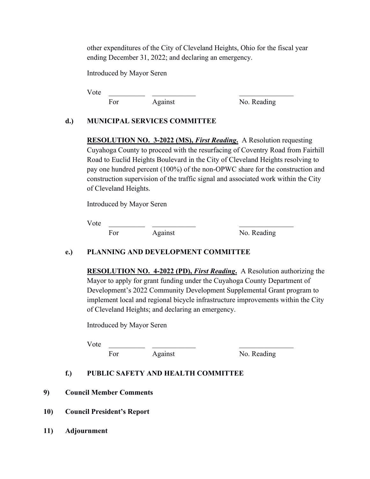other expenditures of the City of Cleveland Heights, Ohio for the fiscal year ending December 31, 2022; and declaring an emergency.

Introduced by Mayor Seren

 $Vote$ 

For Against No. Reading

## **d.) MUNICIPAL SERVICES COMMITTEE**

**RESOLUTION NO. 3-2022 (MS),** *First Reading***.** A Resolution requesting Cuyahoga County to proceed with the resurfacing of Coventry Road from Fairhill Road to Euclid Heights Boulevard in the City of Cleveland Heights resolving to pay one hundred percent (100%) of the non-OPWC share for the construction and construction supervision of the traffic signal and associated work within the City of Cleveland Heights.

Introduced by Mayor Seren

 $Vote$ 

For Against No. Reading

# **e.) PLANNING AND DEVELOPMENT COMMITTEE**

**RESOLUTION NO. 4-2022 (PD),** *First Reading***.** A Resolution authorizing the Mayor to apply for grant funding under the Cuyahoga County Department of Development's 2022 Community Development Supplemental Grant program to implement local and regional bicycle infrastructure improvements within the City of Cleveland Heights; and declaring an emergency.

Introduced by Mayor Seren

Vote \_\_\_\_\_\_\_\_\_\_ \_\_\_\_\_\_\_\_\_\_\_\_ \_\_\_\_\_\_\_\_\_\_\_\_\_\_\_

For Against No. Reading

# **f.) PUBLIC SAFETY AND HEALTH COMMITTEE**

### **9) Council Member Comments**

- **10) Council President's Report**
- **11) Adjournment**